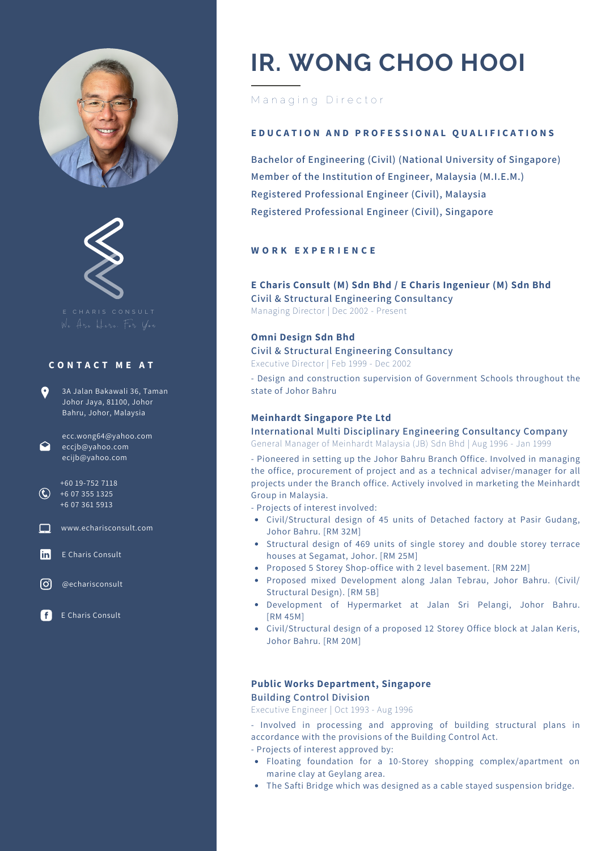



E C H A R I S C O N S U L T

#### **C O N T A C T M E A T**

| 9 | 3A Jalan Bakawali 36, Taman |
|---|-----------------------------|
|   | Johor Jaya, 81100, Johor    |
|   | Bahru, Johor, Malaysia      |

ecc.wong64@yahoo.com eccjb@yahoo.com ecijb@yahoo.com

+60 19-752 7118  $\bigodot$  +6 07 355 1325 +6 07 361 5913

**National Exercise** www.echarisconsult.com

**Iin** E Charis Consult

ര് @echarisconsult

E Charis Consult

# **IR. WONG CHOO HOOI**

# Managing Director

#### EDUCATION AND PROFESSIONAL QUALIFICATIONS

**Bachelor of Engineering (Civil) (National University of Singapore) Member of the Institution of Engineer, Malaysia (M.I.E.M.) Registered Professional Engineer (Civil), Malaysia Registered Professional Engineer (Civil), Singapore**

# **W O R K E X P E R I E N C E**

# **E Charis Consult (M) Sdn Bhd / E Charis Ingenieur (M) Sdn Bhd**

**Civil & Structural Engineering Consultancy** Managing Director | Dec 2002 - Present

#### **Omni Design Sdn Bhd**

**Civil & Structural Engineering Consultancy**

Executive Director | Feb 1999 - Dec 2002

- Design and construction supervision of Government Schools throughout the state of Johor Bahru

#### **Meinhardt Singapore Pte Ltd**

**International Multi Disciplinary Engineering Consultancy Company** General Manager of Meinhardt Malaysia (JB) Sdn Bhd | Aug 1996 - Jan 1999

- Pioneered in setting up the Johor Bahru Branch Office. Involved in managing the office, procurement of project and as a technical adviser/manager for all projects under the Branch office. Actively involved in marketing the Meinhardt Group in Malaysia.

- Projects of interest involved:

- Civil/Structural design of 45 units of Detached factory at Pasir Gudang, Johor Bahru. [RM 32M]
- Structural design of 469 units of single storey and double storey terrace houses at Segamat, Johor. [RM 25M]
- Proposed 5 Storey Shop-office with 2 level basement. [RM 22M]
- Proposed mixed Development along Jalan Tebrau, Johor Bahru. (Civil/ Structural Design). [RM 5B]
- Development of Hypermarket at Jalan Sri Pelangi, Johor Bahru. [RM 45M]
- Civil/Structural design of a proposed 12 Storey Office block at Jalan Keris, Johor Bahru. [RM 20M]

#### **Public Works Department, Singapore Building Control Division**

Executive Engineer | Oct 1993 - Aug 1996

- Involved in processing and approving of building structural plans in accordance with the provisions of the Building Control Act.

- Projects of interest approved by:
- Floating foundation for a 10-Storey shopping complex/apartment on marine clay at Geylang area.
- The Safti Bridge which was designed as a cable stayed suspension bridge.